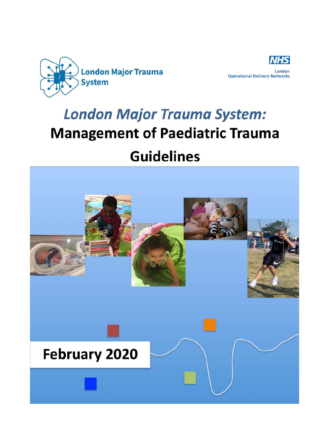



# **London Major Trauma System: Management of Paediatric Trauma Guidelines**

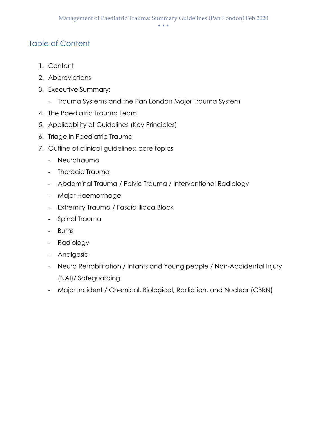## Table of Content

- 1. Content
- 2. Abbreviations
- 3. Executive Summary:
	- Trauma Systems and the Pan London Major Trauma System
- 4. The Paediatric Trauma Team
- 5. Applicability of Guidelines (Key Principles)
- 6. Triage in Paediatric Trauma
- 7. Outline of clinical guidelines: core topics
	- Neurotrauma
	- Thoracic Trauma
	- Abdominal Trauma / Pelvic Trauma / Interventional Radiology
	- Major Haemorrhage
	- Extremity Trauma / Fascia Iliaca Block
	- Spinal Trauma
	- Burns
	- Radiology
	- Analgesia
	- Neuro Rehabilitation / Infants and Young people / Non-Accidental Injury (NAI)/ Safeguarding
	- Major Incident / Chemical, Biological, Radiation, and Nuclear (CBRN)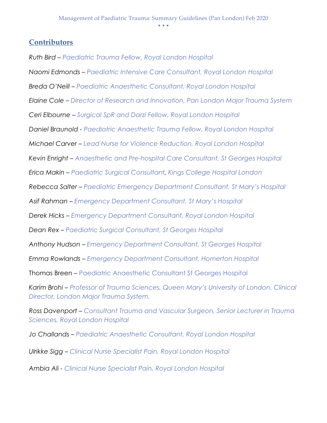#### **Contributors**

*Ruth Bird – Paediatric Trauma Fellow, Royal London Hospital*

*Naomi Edmonds – Paediatric Intensive Care Consultant, Royal London Hospital*

*Breda O'Neill – Paediatric Anaesthetic Consultant, Royal London Hospital*

*Elaine Cole – Director of Research and Innovation, Pan London Major Trauma System* 

*Ceri Elbourne – Surgical SpR and Darzi Fellow, Royal London Hospital*

*Daniel Braunold - Paediatric Anaesthetic Trauma Fellow, Royal London Hospital*

*Michael Carver – Lead Nurse for Violence Reduction, Royal London Hospital*

*Kevin Enright – Anaesthetic and Pre-hospital Care Consultant, St Georges Hospital*

*Erica Makin – Paediatric Surgical Consultant, Kings College Hospital London*

*Rebecca Salter – Paediatric Emergency Department Consultant, St Mary's Hospital*

*Asif Rahman – Emergency Department Consultant, St Mary's Hospital*

*Derek Hicks – Emergency Department Consultant, Royal London Hospital*

*Dean Rex – Paediatric Surgical Consultant, St Georges Hospital*

*Anthony Hudson – Emergency Department Consultant, St Georges Hospital*

*Emma Rowlands – Emergency Department Consultant, Homerton Hospital*

Thomas Breen – Paediatric Anaesthetic Consultant St Georges Hospital

*Karim Brohi – Professor of Trauma Sciences, Queen Mary's University of London, Clinical Director, London Major Trauma System.*

*Ross Davenport – Consultant Trauma and Vascular Surgeon, Senior Lecturer in Trauma Sciences, Royal London Hospital*

*Jo Challands – Paediatric Anaesthetic Consultant, Royal London Hospital*

*Ulrikke Sigg – Clinical Nurse Specialist Pain, Royal London Hospital*

*Ambia Ali - Clinical Nurse Specialist Pain, Royal London Hospital*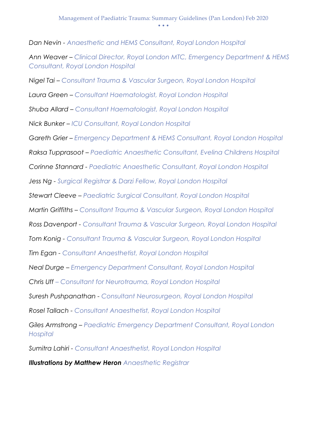*Dan Nevin - Anaesthetic and HEMS Consultant, Royal London Hospital* 

*Ann Weaver – Clinical Director, Royal London MTC, Emergency Department & HEMS Consultant, Royal London Hospital*

*Nigel Tai – Consultant Trauma & Vascular Surgeon, Royal London Hospital*

*Laura Green – Consultant Haematologist, Royal London Hospital*

*Shuba Allard – Consultant Haematologist, Royal London Hospital*

*Nick Bunker – ICU Consultant, Royal London Hospital*

*Gareth Grier – Emergency Department & HEMS Consultant, Royal London Hospital*

*Raksa Tupprasoot – Paediatric Anaesthetic Consultant, Evelina Childrens Hospital*

*Corinne Stannard - Paediatric Anaesthetic Consultant, Royal London Hospital*

*Jess Ng - Surgical Registrar & Darzi Fellow, Royal London Hospital*

*Stewart Cleeve – Paediatric Surgical Consultant, Royal London Hospital*

*Martin Griffiths – Consultant Trauma & Vascular Surgeon, Royal London Hospital*

*Ross Davenport - Consultant Trauma & Vascular Surgeon, Royal London Hospital*

*Tom Konig - Consultant Trauma & Vascular Surgeon, Royal London Hospital*

*Tim Egan - Consultant Anaesthetist, Royal London Hospital*

*Neal Durge – Emergency Department Consultant, Royal London Hospital*

*Chris Uff – Consultant for Neurotrauma, Royal London Hospital*

*Suresh Pushpanathan - Consultant Neurosurgeon, Royal London Hospital*

*Rosel Tallach - Consultant Anaesthetist, Royal London Hospital*

*Giles Armstrong – Paediatric Emergency Department Consultant, Royal London Hospital*

*Sumitra Lahiri - Consultant Anaesthetist, Royal London Hospital*

*Illustrations by Matthew Heron Anaesthetic Registrar*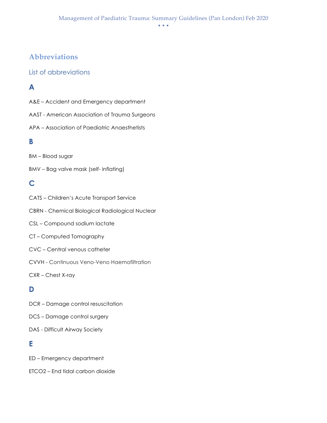## **Abbreviations**

#### List of abbreviations

## **A**

- A&E Accident and Emergency department
- AAST American Association of Trauma Surgeons
- APA Association of Paediatric Anaesthetists

#### **B**

- BM Blood sugar
- BMV Bag valve mask (self- inflating)

## **C**

- CATS Children's Acute Transport Service CBRN - Chemical Biological Radiological Nuclear CSL – Compound sodium lactate CT – Computed Tomography CVC – Central venous catheter CVVH - Continuous Veno-Veno Haemofiltration CXR – Chest X-ray **D**
- DCR Damage control resuscitation
- DCS Damage control surgery
- DAS Difficult Airway Society

## **E**

- ED Emergency department
- ETCO2 End tidal carbon dioxide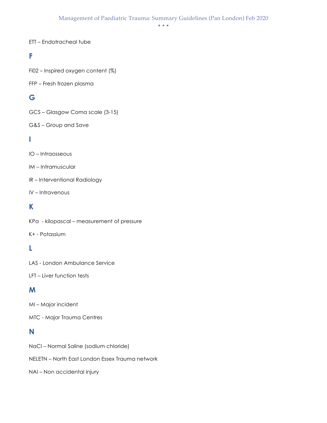• • •

#### ETT – Endotracheal tube

#### **F**

Fi02 – Inspired oxygen content (%)

#### FFP – Fresh frozen plasma

## **G**

GCS – Glasgow Coma scale (3-15)

#### G&S – Group and Save

#### **I**

- IO Intraosseous
- IM Intramuscular
- IR Interventional Radiology
- IV Intravenous

## **K**

- KPa kilopascal measurement of pressure
- K+ Potassium

## **L**

- LAS London Ambulance Service
- LFT Liver function tests

## **M**

- MI Major incident
- MTC Major Trauma Centres

#### **N**

- NaCl Normal Saline (sodium chloride)
- NELETN North East London Essex Trauma network
- NAI Non accidental injury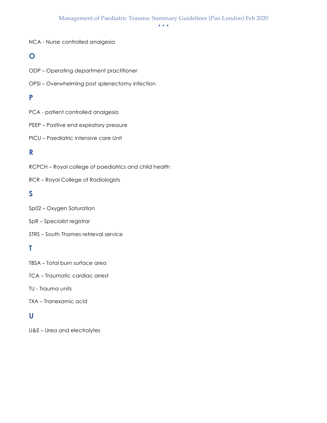• • •

#### NCA - Nurse controlled analgesia

#### **O**

- ODP Operating department practitioner
- OPSI Overwhelming post splenectomy infection

#### **P**

- PCA patient controlled analgesia
- PEEP Positive end expiratory pressure
- PICU Paediatric intensive care Unit

#### **R**

RCPCH – Royal college of paediatrics and child health

RCR – Royal College of Radiologists

#### **S**

- Sp02 Oxygen Saturation
- SpR Specialist registrar
- STRS South Thames retrieval service

## **T**

TBSA – Total burn surface area

TCA – Traumatic cardiac arrest

TU - Trauma units

TXA – Tranexamic acid

#### **U**

U&E – Urea and electrolytes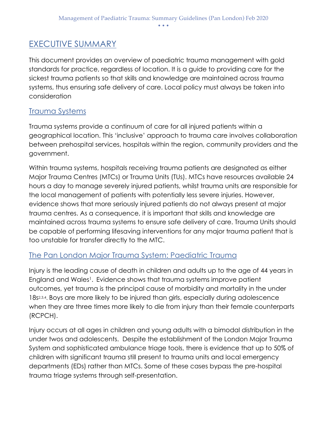## EXECUTIVE SUMMARY

This document provides an overview of paediatric trauma management with gold standards for practice, regardless of location. It is a guide to providing care for the sickest trauma patients so that skills and knowledge are maintained across trauma systems, thus ensuring safe delivery of care. Local policy must always be taken into consideration

## Trauma Systems

Trauma systems provide a continuum of care for all injured patients within a geographical location. This 'inclusive' approach to trauma care involves collaboration between prehospital services, hospitals within the region, community providers and the government.

Within trauma systems, hospitals receiving trauma patients are designated as either Major Trauma Centres (MTCs) or Trauma Units (TUs). MTCs have resources available 24 hours a day to manage severely injured patients, whilst trauma units are responsible for the local management of patients with potentially less severe injuries. However, evidence shows that more seriously injured patients do not always present at major trauma centres. As a consequence, it is important that skills and knowledge are maintained across trauma systems to ensure safe delivery of care. Trauma Units should be capable of performing lifesaving interventions for any major trauma patient that is too unstable for transfer directly to the MTC.

## The Pan London Major Trauma System: Paediatric Trauma

Injury is the leading cause of death in children and adults up to the age of 44 years in England and Wales<sup>1</sup>. Evidence shows that trauma systems improve patient outcomes, yet trauma is the principal cause of morbidity and mortality in the under 18s2,3,4. Boys are more likely to be injured than girls, especially during adolescence when they are three times more likely to die from injury than their female counterparts (RCPCH).

Injury occurs at all ages in children and young adults with a bimodal distribution in the under twos and adolescents. Despite the establishment of the London Major Trauma System and sophisticated ambulance triage tools, there is evidence that up to 50% of children with significant trauma still present to trauma units and local emergency departments (EDs) rather than MTCs. Some of these cases bypass the pre-hospital trauma triage systems through self-presentation.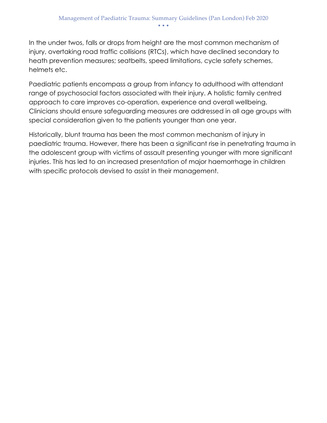In the under twos, falls or drops from height are the most common mechanism of injury, overtaking road traffic collisions (RTCs), which have declined secondary to heath prevention measures; seatbelts, speed limitations, cycle safety schemes, helmets etc.

Paediatric patients encompass a group from infancy to adulthood with attendant range of psychosocial factors associated with their injury. A holistic family centred approach to care improves co-operation, experience and overall wellbeing. Clinicians should ensure safeguarding measures are addressed in all age groups with special consideration given to the patients younger than one year.

Historically, blunt trauma has been the most common mechanism of injury in paediatric trauma. However, there has been a significant rise in penetrating trauma in the adolescent group with victims of assault presenting younger with more significant injuries. This has led to an increased presentation of major haemorrhage in children with specific protocols devised to assist in their management.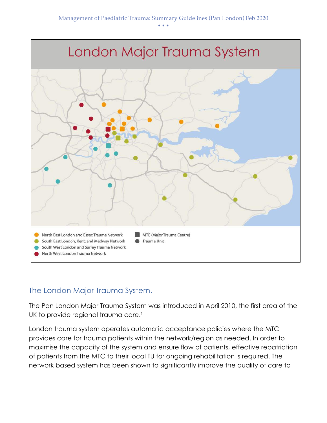

## The London Major Trauma System.

The Pan London Major Trauma System was introduced in April 2010, the first area of the UK to provide regional trauma care.<sup>1</sup>

London trauma system operates automatic acceptance policies where the MTC provides care for trauma patients within the network/region as needed. In order to maximise the capacity of the system and ensure flow of patients, effective repatriation of patients from the MTC to their local TU for ongoing rehabilitation is required. The network based system has been shown to significantly improve the quality of care to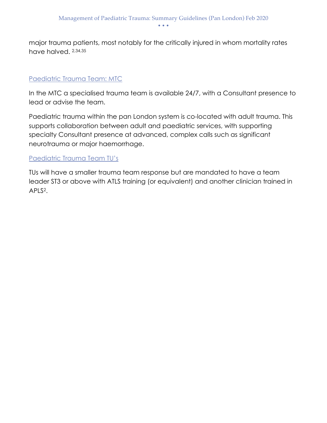major trauma patients, most notably for the critically injured in whom mortality rates have halved. 2,34,35

#### Paediatric Trauma Team: MTC

In the MTC a specialised trauma team is available 24/7, with a Consultant presence to lead or advise the team.

Paediatric trauma within the pan London system is co-located with adult trauma. This supports collaboration between adult and paediatric services, with supporting specialty Consultant presence at advanced, complex calls such as significant neurotrauma or major haemorrhage.

#### Paediatric Trauma Team TU's

TUs will have a smaller trauma team response but are mandated to have a team leader ST3 or above with ATLS training (or equivalent) and another clinician trained in APLS2.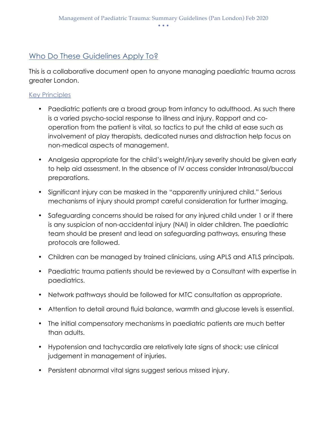## Who Do These Guidelines Apply To?

This is a collaborative document open to anyone managing paediatric trauma across greater London.

#### Key Principles

- Paediatric patients are a broad group from infancy to adulthood. As such there is a varied psycho-social response to illness and injury. Rapport and cooperation from the patient is vital, so tactics to put the child at ease such as involvement of play therapists, dedicated nurses and distraction help focus on non-medical aspects of management.
- Analgesia appropriate for the child's weight/injury severity should be given early to help aid assessment. In the absence of IV access consider Intranasal/buccal preparations.
- Significant injury can be masked in the "apparently uninjured child." Serious mechanisms of injury should prompt careful consideration for further imaging.
- Safeguarding concerns should be raised for any injured child under 1 or if there is any suspicion of non-accidental injury (NAI) in older children. The paediatric team should be present and lead on safeguarding pathways, ensuring these protocols are followed.
- Children can be managed by trained clinicians, using APLS and ATLS principals.
- Paediatric trauma patients should be reviewed by a Consultant with expertise in paediatrics.
- Network pathways should be followed for MTC consultation as appropriate.
- Attention to detail around fluid balance, warmth and glucose levels is essential.
- The initial compensatory mechanisms in paediatric patients are much better than adults.
- Hypotension and tachycardia are relatively late signs of shock; use clinical judgement in management of injuries.
- Persistent abnormal vital signs suggest serious missed injury.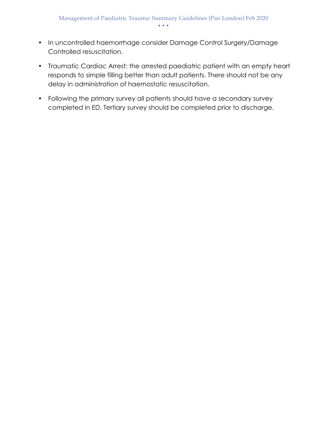- In uncontrolled haemorrhage consider Damage Control Surgery/Damage Controlled resuscitation.
- Traumatic Cardiac Arrest: the arrested paediatric patient with an empty heart responds to simple filling better than adult patients. There should not be any delay in administration of haemostatic resuscitation.
- Following the primary survey all patients should have a secondary survey completed in ED. Tertiary survey should be completed prior to discharge.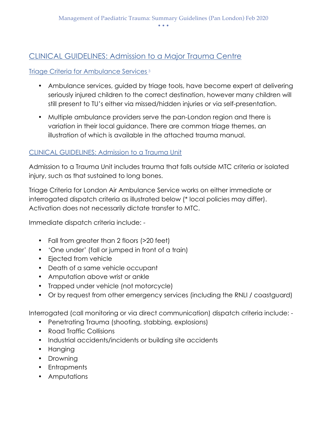## CLINICAL GUIDELINES: Admission to a Major Trauma Centre

#### Triage Criteria for Ambulance Services <sup>3</sup>

- Ambulance services, guided by triage tools, have become expert at delivering seriously injured children to the correct destination, however many children will still present to TU's either via missed/hidden injuries or via self-presentation.
- Multiple ambulance providers serve the pan-London region and there is variation in their local guidance. There are common triage themes, an illustration of which is available in the attached trauma manual.

#### CLINICAL GUIDELINES: Admission to a Trauma Unit

Admission to a Trauma Unit includes trauma that falls outside MTC criteria or isolated injury, such as that sustained to long bones.

Triage Criteria for London Air Ambulance Service works on either immediate or interrogated dispatch criteria as illustrated below (\* local policies may differ). Activation does not necessarily dictate transfer to MTC.

Immediate dispatch criteria include: -

- Fall from greater than 2 floors (>20 feet)
- 'One under' (fall or jumped in front of a train)
- Ejected from vehicle
- Death of a same vehicle occupant
- Amputation above wrist or ankle
- Trapped under vehicle (not motorcycle)
- Or by request from other emergency services (including the RNLI / coastguard)

Interrogated (call monitoring or via direct communication) dispatch criteria include: -

- Penetrating Trauma (shooting, stabbing, explosions)
- Road Traffic Collisions
- Industrial accidents/incidents or building site accidents
- Hanging
- Drowning
- Entrapments
- Amputations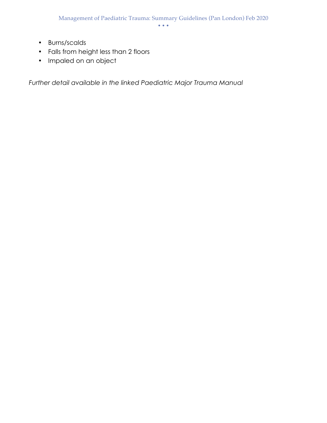- Burns/scalds
- Falls from height less than 2 floors
- Impaled on an object

*Further detail available in the linked Paediatric Major Trauma Manual*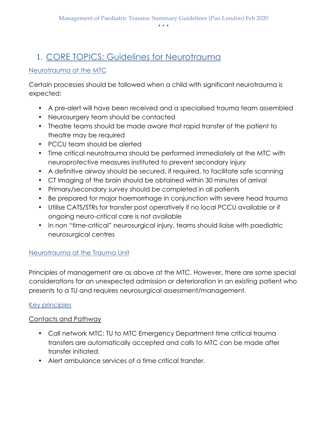# 1. CORE TOPICS: Guidelines for Neurotrauma

#### Neurotrauma at the MTC

Certain processes should be followed when a child with significant neurotrauma is expected:

- A pre-alert will have been received and a specialised trauma team assembled
- Neurosurgery team should be contacted
- Theatre teams should be made aware that rapid transfer of the patient to theatre may be required
- PCCU team should be alerted
- Time critical neurotrauma should be performed immediately at the MTC with neuroprotective measures instituted to prevent secondary injury
- A definitive airway should be secured, if required, to facilitate safe scanning
- CT Imaging of the brain should be obtained within 30 minutes of arrival
- Primary/secondary survey should be completed in all patients
- Be prepared for major haemorrhage in conjunction with severe head trauma
- Utilise CATS/STRs for transfer post operatively if no local PCCU available or if ongoing neuro-critical care is not available
- In non "time-critical" neurosurgical injury, teams should liaise with paediatric neurosurgical centres

#### Neurotrauma at the Trauma Unit

Principles of management are as above at the MTC. However, there are some special considerations for an unexpected admission or deterioration in an existing patient who presents to a TU and requires neurosurgical assessment/management.

#### Key principles

#### Contacts and Pathway

- Call network MTC: TU to MTC Emergency Department time critical trauma transfers are automatically accepted and calls to MTC can be made after transfer initiated.
- Alert ambulance services of a time critical transfer.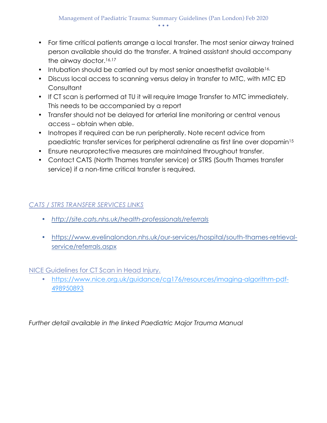- For time critical patients arrange a local transfer. The most senior airway trained person available should do the transfer. A trained assistant should accompany the airway doctor.<sup>16,17</sup>
- Intubation should be carried out by most senior anaesthetist available<sup>16,</sup>
- Discuss local access to scanning versus delay in transfer to MTC, with MTC ED **Consultant**
- If CT scan is performed at TU it will require Image Transfer to MTC immediately. This needs to be accompanied by a report
- Transfer should not be delayed for arterial line monitoring or central venous access – obtain when able.
- Inotropes if required can be run peripherally. Note recent advice from paediatric transfer services for peripheral adrenaline as first line over dopamin15
- Ensure neuroprotective measures are maintained throughout transfer.
- Contact CATS (North Thames transfer service) or STRS (South Thames transfer service) if a non-time critical transfer is required.

## *CATS / STRS TRANSFER SERVICES LINKS*

- *http://site.cats.nhs.uk/health-professionals/referrals*
- https://www.evelinalondon.nhs.uk/our-services/hospital/south-thames-retrievalservice/referrals.aspx

NICE Guidelines for CT Scan in Head Injury.

• https://www.nice.org.uk/guidance/cg176/resources/imaging-algorithm-pdf-498950893

*Further detail available in the linked Paediatric Major Trauma Manual*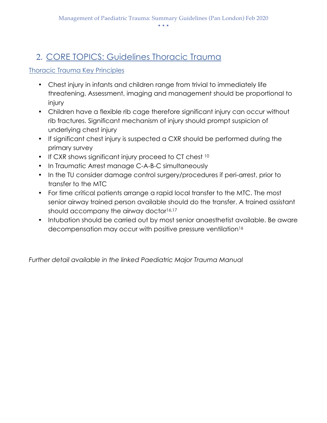# 2. CORE TOPICS: Guidelines Thoracic Trauma

#### Thoracic Trauma Key Principles

- Chest injury in infants and children range from trivial to immediately life threatening. Assessment, imaging and management should be proportional to injury
- Children have a flexible rib cage therefore significant injury can occur without rib fractures. Significant mechanism of injury should prompt suspicion of underlying chest injury
- If significant chest injury is suspected a CXR should be performed during the primary survey
- If CXR shows significant injury proceed to CT chest 10
- In Traumatic Arrest manage C-A-B-C simultaneously
- In the TU consider damage control surgery/procedures if peri-arrest, prior to transfer to the MTC
- For time critical patients arrange a rapid local transfer to the MTC. The most senior airway trained person available should do the transfer. A trained assistant should accompany the airway doctor<sup>16,17</sup>
- Intubation should be carried out by most senior anaesthetist available. Be aware decompensation may occur with positive pressure ventilation<sup>16</sup>

*Further detail available in the linked Paediatric Major Trauma Manual*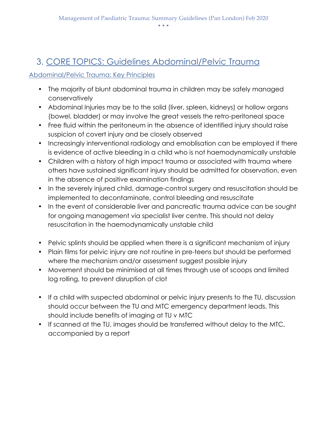# 3. CORE TOPICS: Guidelines Abdominal/Pelvic Trauma

#### Abdominal/Pelvic Trauma: Key Principles

- The majority of blunt abdominal trauma in children may be safely managed conservatively
- Abdominal Injuries may be to the solid (liver, spleen, kidneys) or hollow organs (bowel, bladder) or may involve the great vessels the retro-peritoneal space
- Free fluid within the peritoneum in the absence of identified injury should raise suspicion of covert injury and be closely observed
- Increasingly interventional radiology and emoblisation can be employed if there is evidence of active bleeding in a child who is not haemodynamically unstable
- Children with a history of high impact trauma or associated with trauma where others have sustained significant injury should be admitted for observation, even in the absence of positive examination findings
- In the severely injured child, damage-control surgery and resuscitation should be implemented to decontaminate, control bleeding and resuscitate
- In the event of considerable liver and pancreatic trauma advice can be sought for ongoing management via specialist liver centre. This should not delay resuscitation in the haemodynamically unstable child
- Pelvic splints should be applied when there is a significant mechanism of injury
- Plain films for pelvic injury are not routine in pre-teens but should be performed where the mechanism and/or assessment suggest possible injury
- Movement should be minimised at all times through use of scoops and limited log rolling, to prevent disruption of clot
- If a child with suspected abdominal or pelvic injury presents to the TU, discussion should occur between the TU and MTC emergency department leads. This should include benefits of imaging at TU v MTC
- If scanned at the TU, images should be transferred without delay to the MTC, accompanied by a report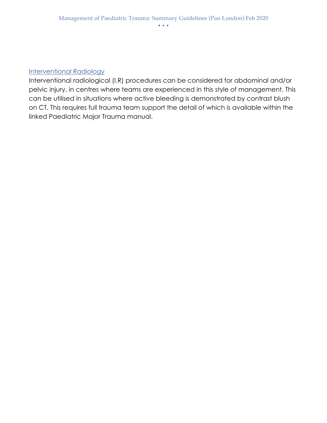#### Interventional Radiology

Interventional radiological (I.R) procedures can be considered for abdominal and/or pelvic injury, in centres where teams are experienced in this style of management. This can be utilised in situations where active bleeding is demonstrated by contrast blush on CT. This requires full trauma team support the detail of which is available within the linked Paediatric Major Trauma manual.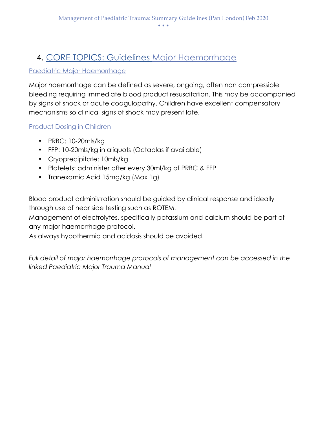# 4. CORE TOPICS: Guidelines Major Haemorrhage

#### Paediatric Major Haemorrhage

Major haemorrhage can be defined as severe, ongoing, often non compressible bleeding requiring immediate blood product resuscitation. This may be accompanied by signs of shock or acute coagulopathy. Children have excellent compensatory mechanisms so clinical signs of shock may present late.

#### Product Dosing in Children

- PRBC: 10-20mls/kg
- FFP: 10-20mls/kg in aliquots (Octaplas if available)
- Cryoprecipitate: 10mls/kg
- Platelets: administer after every 30ml/kg of PRBC & FFP
- Tranexamic Acid 15mg/kg (Max 1g)

Blood product administration should be guided by clinical response and ideally through use of near side testing such as ROTEM.

Management of electrolytes, specifically potassium and calcium should be part of any major haemorrhage protocol.

As always hypothermia and acidosis should be avoided.

Full detail of major haemorrhage protocols of management can be accessed in the *linked Paediatric Major Trauma Manual*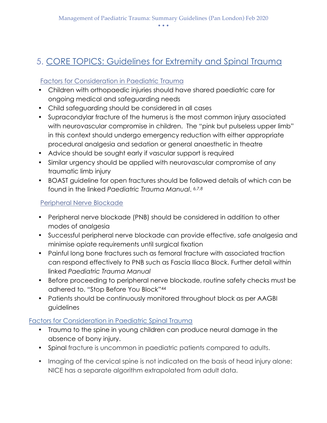# 5. CORE TOPICS: Guidelines for Extremity and Spinal Trauma

#### Factors for Consideration in Paediatric Trauma

- Children with orthopaedic injuries should have shared paediatric care for ongoing medical and safeguarding needs
- Child safeguarding should be considered in all cases
- Supracondylar fracture of the humerus is the most common injury associated with neurovascular compromise in children. The "pink but pulseless upper limb" in this context should undergo emergency reduction with either appropriate procedural analgesia and sedation or general anaesthetic in theatre
- Advice should be sought early if vascular support is required
- Similar urgency should be applied with neurovascular compromise of any traumatic limb injury
- BOAST guideline for open fractures should be followed details of which can be found in the linked *Paediatric Trauma Manual*. *6,7,8*

#### Peripheral Nerve Blockade

- Peripheral nerve blockade (PNB) should be considered in addition to other modes of analgesia
- Successful peripheral nerve blockade can provide effective, safe analgesia and minimise opiate requirements until surgical fixation
- Painful long bone fractures such as femoral fracture with associated traction can respond effectively to PNB such as Fascia Iliaca Block. Further detail within linked *Paediatric Trauma Manual*
- Before proceeding to peripheral nerve blockade, routine safety checks must be adhered to. "Stop Before You Block"44
- Patients should be continuously monitored throughout block as per AAGBI guidelines

#### Factors for Consideration in Paediatric Spinal Trauma

- Trauma to the spine in young children can produce neural damage in the absence of bony injury.
- Spinal fracture is uncommon in paediatric patients compared to adults.
- Imaging of the cervical spine is not indicated on the basis of head injury alone: NICE has a separate algorithm extrapolated from adult data.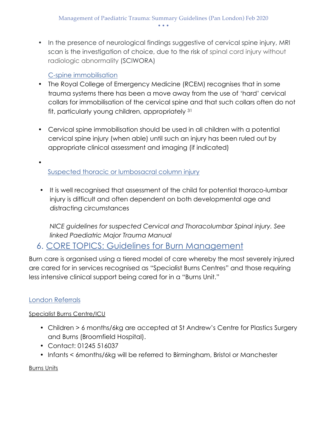• In the presence of neurological findings suggestive of cervical spine injury, MRI scan is the investigation of choice, due to the risk of spinal cord injury without radiologic abnormality (SCIWORA)

#### C-spine immobilisation

- The Royal College of Emergency Medicine (RCEM) recognises that in some trauma systems there has been a move away from the use of 'hard' cervical collars for immobilisation of the cervical spine and that such collars often do not fit, particularly young children, appropriately <sup>31</sup>
- Cervical spine immobilisation should be used in all children with a potential cervical spine injury (when able) until such an injury has been ruled out by appropriate clinical assessment and imaging (if indicated)
- Suspected thoracic or lumbosacral column injury
- It is well recognised that assessment of the child for potential thoraco-lumbar injury is difficult and often dependent on both developmental age and distracting circumstances

*NICE guidelines for suspected Cervical and Thoracolumbar Spinal injury. See linked Paediatric Major Trauma Manual*

## 6. CORE TOPICS: Guidelines for Burn Management

Burn care is organised using a tiered model of care whereby the most severely injured are cared for in services recognised as "Specialist Burns Centres" and those requiring less intensive clinical support being cared for in a "Burns Unit."

## London Referrals

#### Specialist Burns Centre/ICU

- Children > 6 months/6kg are accepted at St Andrew's Centre for Plastics Surgery and Burns (Broomfield Hospital).
- Contact: 01245 516037
- Infants < 6months/6kg will be referred to Birmingham, Bristol or Manchester

Burns Units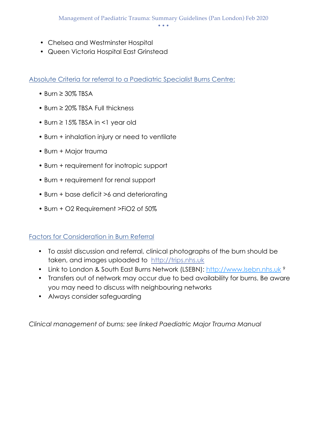- Chelsea and Westminster Hospital
- Queen Victoria Hospital East Grinstead

Absolute Criteria for referral to a Paediatric Specialist Burns Centre:

- Burn ≥ 30% TBSA
- Burn ≥ 20% TBSA Full thickness
- Burn ≥ 15% TBSA in <1 year old
- Burn + inhalation injury or need to ventilate
- Burn + Major trauma
- Burn + requirement for inotropic support
- Burn + requirement for renal support
- Burn + base deficit >6 and deteriorating
- Burn + O2 Requirement >FiO2 of 50%

#### Factors for Consideration in Burn Referral

- To assist discussion and referral, clinical photographs of the burn should be taken, and images uploaded to http://trips.nhs.uk
- Link to London & South East Burns Network (LSEBN): http://www.lsebn.nhs.uk <sup>9</sup>
- Transfers out of network may occur due to bed availability for burns. Be aware you may need to discuss with neighbouring networks
- Always consider safeguarding

*Clinical management of burns: see linked Paediatric Major Trauma Manual*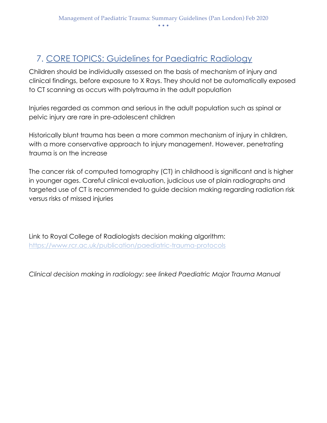# 7. CORE TOPICS: Guidelines for Paediatric Radiology

Children should be individually assessed on the basis of mechanism of injury and clinical findings, before exposure to X Rays. They should not be automatically exposed to CT scanning as occurs with polytrauma in the adult population

Injuries regarded as common and serious in the adult population such as spinal or pelvic injury are rare in pre-adolescent children

Historically blunt trauma has been a more common mechanism of injury in children, with a more conservative approach to injury management. However, penetrating trauma is on the increase

The cancer risk of computed tomography (CT) in childhood is significant and is higher in younger ages. Careful clinical evaluation, judicious use of plain radiographs and targeted use of CT is recommended to guide decision making regarding radiation risk versus risks of missed injuries

Link to Royal College of Radiologists decision making algorithm: https://www.rcr.ac.uk/publication/paediatric-trauma-protocols

*Clinical decision making in radiology: see linked Paediatric Major Trauma Manual*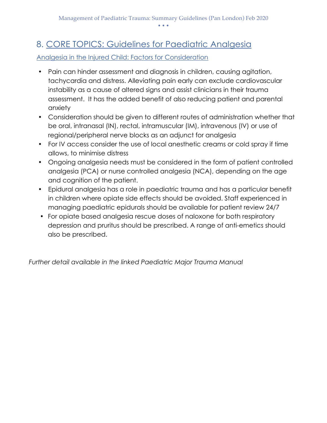# 8. CORE TOPICS: Guidelines for Paediatric Analgesia

Analgesia in the Injured Child: Factors for Consideration

- Pain can hinder assessment and diagnosis in children, causing agitation, tachycardia and distress. Alleviating pain early can exclude cardiovascular instability as a cause of altered signs and assist clinicians in their trauma assessment. It has the added benefit of also reducing patient and parental anxiety
- Consideration should be given to different routes of administration whether that be oral, intranasal (IN), rectal, intramuscular (IM), intravenous (IV) or use of regional/peripheral nerve blocks as an adjunct for analgesia
- For IV access consider the use of local anesthetic creams or cold spray if time allows, to minimise distress
- Ongoing analgesia needs must be considered in the form of patient controlled analgesia (PCA) or nurse controlled analgesia (NCA), depending on the age and cognition of the patient.
- Epidural analgesia has a role in paediatric trauma and has a particular benefit in children where opiate side effects should be avoided. Staff experienced in managing paediatric epidurals should be available for patient review 24/7
- For opiate based analgesia rescue doses of naloxone for both respiratory depression and pruritus should be prescribed. A range of anti-emetics should also be prescribed.

*Further detail available in the linked Paediatric Major Trauma Manual*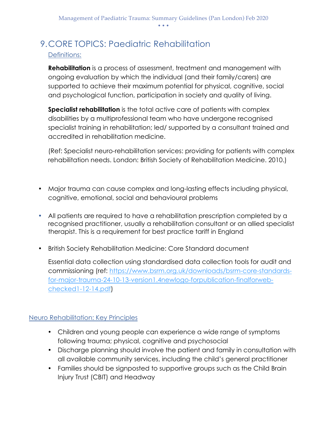## 9.CORE TOPICS: Paediatric Rehabilitation Definitions:

**Rehabilitation** is a process of assessment, treatment and management with ongoing evaluation by which the individual (and their family/carers) are supported to achieve their maximum potential for physical, cognitive, social and psychological function, participation in society and quality of living.

**Specialist rehabilitation** is the total active care of patients with complex disabilities by a multiprofessional team who have undergone recognised specialist training in rehabilitation; led/ supported by a consultant trained and accredited in rehabilitation medicine.

(Ref: Specialist neuro-rehabilitation services: providing for patients with complex rehabilitation needs. London: British Society of Rehabilitation Medicine. 2010.)

- Major trauma can cause complex and long-lasting effects including physical, cognitive, emotional, social and behavioural problems
- All patients are required to have a rehabilitation prescription completed by a recognised practitioner, usually a rehabilitation consultant or an allied specialist therapist. This is a requirement for best practice tariff in England
- British Society Rehabilitation Medicine: Core Standard document

Essential data collection using standardised data collection tools for audit and commissioning (ref: https://www.bsrm.org.uk/downloads/bsrm-core-standardsfor-major-trauma-24-10-13-version1.4newlogo-forpublication-finalforwebchecked1-12-14.pdf)

#### Neuro Rehabilitation: Key Principles

- Children and young people can experience a wide range of symptoms following trauma; physical, cognitive and psychosocial
- Discharge planning should involve the patient and family in consultation with all available community services, including the child's general practitioner
- Families should be signposted to supportive groups such as the Child Brain Injury Trust (CBIT) and Headway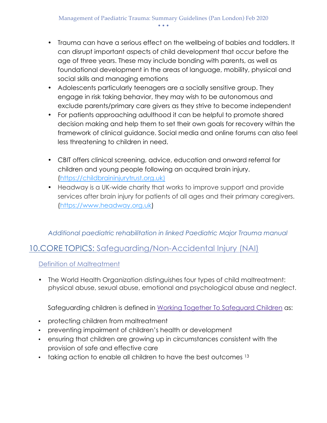- Trauma can have a serious effect on the wellbeing of babies and toddlers. It can disrupt important aspects of child development that occur before the age of three years. These may include bonding with parents, as well as foundational development in the areas of language, mobility, physical and social skills and managing emotions
- Adolescents particularly teenagers are a socially sensitive group. They engage in risk taking behavior, they may wish to be autonomous and exclude parents/primary care givers as they strive to become independent
- For patients approaching adulthood it can be helpful to promote shared decision making and help them to set their own goals for recovery within the framework of clinical guidance. Social media and online forums can also feel less threatening to children in need.
- CBIT offers clinical screening, advice, education and onward referral for children and young people following an acquired brain injury. (https://childbraininjurytrust.org.uk)
- Headway is a UK-wide charity that works to improve support and provide services after brain injury for patients of all ages and their primary caregivers. (https://www.headway.org.uk)

#### *Additional paediatric rehabilitation in linked Paediatric Major Trauma manual*

## 10.CORE TOPICS: Safeguarding/Non-Accidental Injury (NAI)

Definition of Maltreatment

• The World Health Organization distinguishes four types of child maltreatment: physical abuse, sexual abuse, emotional and psychological abuse and neglect.

Safeguarding children is defined in Working Together To Safeguard Children as:

- protecting children from maltreatment
- preventing impairment of children's health or development
- ensuring that children are growing up in circumstances consistent with the provision of safe and effective care
- $\cdot$  taking action to enable all children to have the best outcomes  $13$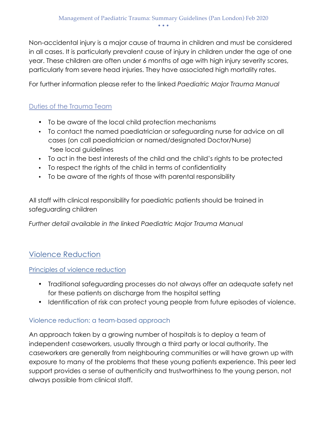Non-accidental injury is a major cause of trauma in children and must be considered in all cases. It is particularly prevalent cause of injury in children under the age of one year. These children are often under 6 months of age with high injury severity scores, particularly from severe head injuries. They have associated high mortality rates.

For further information please refer to the linked *Paediatric Major Trauma Manual*

## Duties of the Trauma Team

- To be aware of the local child protection mechanisms
- To contact the named paediatrician or safeguarding nurse for advice on all cases (on call paediatrician or named/designated Doctor/Nurse) \*see local guidelines
- To act in the best interests of the child and the child's rights to be protected
- To respect the rights of the child in terms of confidentiality
- To be aware of the rights of those with parental responsibility

All staff with clinical responsibility for paediatric patients should be trained in safeguarding children

*Further detail available in the linked Paediatric Major Trauma Manual*

## Violence Reduction

#### Principles of violence reduction

- Traditional safeguarding processes do not always offer an adequate safety net for these patients on discharge from the hospital setting
- Identification of risk can protect young people from future episodes of violence.

#### Violence reduction: a team-based approach

An approach taken by a growing number of hospitals is to deploy a team of independent caseworkers, usually through a third party or local authority. The caseworkers are generally from neighbouring communities or will have grown up with exposure to many of the problems that these young patients experience. This peer led support provides a sense of authenticity and trustworthiness to the young person, not always possible from clinical staff.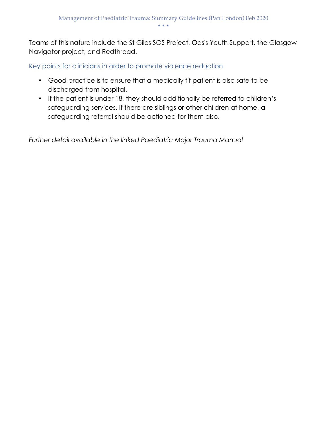Teams of this nature include the St Giles SOS Project, Oasis Youth Support, the Glasgow Navigator project, and Redthread.

Key points for clinicians in order to promote violence reduction

- Good practice is to ensure that a medically fit patient is also safe to be discharged from hospital.
- If the patient is under 18, they should additionally be referred to children's safeguarding services. If there are siblings or other children at home, a safeguarding referral should be actioned for them also.

*Further detail available in the linked Paediatric Major Trauma Manual*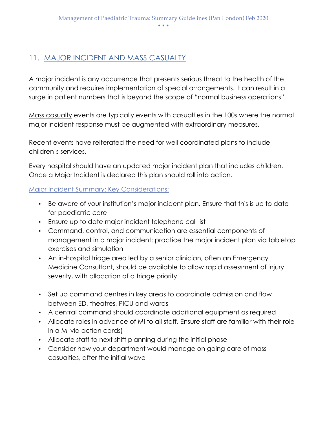## 11. MAJOR INCIDENT AND MASS CASUALTY

A major incident is any occurrence that presents serious threat to the health of the community and requires implementation of special arrangements. It can result in a surge in patient numbers that is beyond the scope of "normal business operations".

Mass casualty events are typically events with casualties in the 100s where the normal major incident response must be augmented with extraordinary measures.

Recent events have reiterated the need for well coordinated plans to include children's services.

Every hospital should have an updated major incident plan that includes children. Once a Major Incident is declared this plan should roll into action.

Major Incident Summary: Key Considerations:

- Be aware of your institution's major incident plan. Ensure that this is up to date for paediatric care
- Ensure up to date major incident telephone call list
- Command, control, and communication are essential components of management in a major incident: practice the major incident plan via tabletop exercises and simulation
- An in-hospital triage area led by a senior clinician, often an Emergency Medicine Consultant, should be available to allow rapid assessment of injury severity, with allocation of a triage priority
- Set up command centres in key areas to coordinate admission and flow between ED, theatres, PICU and wards
- A central command should coordinate additional equipment as required
- Allocate roles in advance of MI to all staff. Ensure staff are familiar with their role in a MI via action cards)
- Allocate staff to next shift planning during the initial phase
- Consider how your department would manage on going care of mass casualties, after the initial wave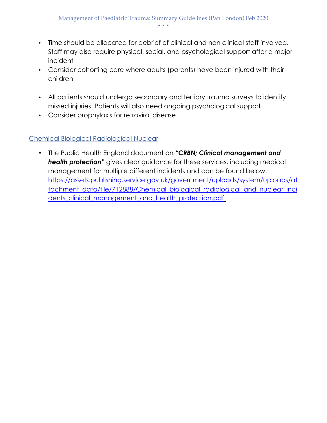- Time should be allocated for debrief of clinical and non clinical staff involved. Staff may also require physical, social, and psychological support after a major incident
- Consider cohorting care where adults (parents) have been injured with their children
- All patients should undergo secondary and tertiary trauma surveys to identify missed injuries. Patients will also need ongoing psychological support
- Consider prophylaxis for retroviral disease

#### Chemical Biological Radiological Nuclear

• The Public Health England document on *"CRBN; Clinical management and health protection"* gives clear guidance for these services, including medical management for multiple different incidents and can be found below. https://assets.publishing.service.gov.uk/government/uploads/system/uploads/at tachment\_data/file/712888/Chemical\_biological\_radiological\_and\_nuclear\_inci dents\_clinical\_management\_and\_health\_protection.pdf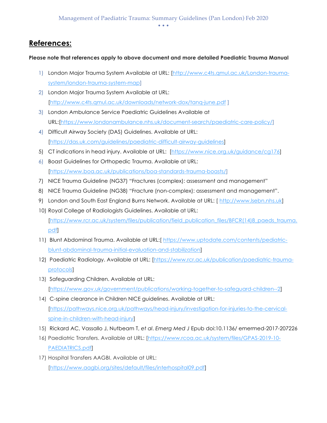#### • • •

## **References:**

#### **Please note that references apply to above document and more detailed Paediatric Trauma Manual**

- 1) London Major Trauma System Available at URL: [http://www.c4ts.qmul.ac.uk/London-traumasystem/london-trauma-system-map]
- 2) London Major Trauma System Available at URL: [http://www.c4ts.qmul.ac.uk/downloads/network-dox/tanq-june.pdf ]
- 3) London Ambulance Service Paediatric Guidelines Available at URL:[https://www.londonambulance.nhs.uk/document-search/paediatric-care-policy/]
- 4) Difficult Airway Society (DAS) Guidelines. Available at URL: [https://das.uk.com/guidelines/paediatric-difficult-airway-guidelines]
- 5) CT indications in head injury. Available at URL: [https://www.nice.org.uk/guidance/cg176]
- 6) Boast Guidelines for Orthopedic Trauma. Available at URL: [https://www.boa.ac.uk/publications/boa-standards-trauma-boasts/]
- 7) NICE Trauma Guideline (NG37) "Fractures (complex): assessment and management"
- 8) NICE Trauma Guideline (NG38) "Fracture (non-complex): assessment and management".
- 9) London and South East England Burns Network. Available at URL: [ http://www.lsebn.nhs.uk]
- 10) Royal College of Radiologists Guidelines. Available at URL: [https://www.rcr.ac.uk/system/files/publication/field\_publication\_files/BFCR(14)8\_paeds\_trauma. pdf]
- 11) Blunt Abdominal Trauma. Available at URL:[ https://www.uptodate.com/contents/pediatricblunt-abdominal-trauma-initial-evaluation-and-stabilization]
- 12) Paediatric Radiology. Available at URL: [https://www.rcr.ac.uk/publication/paediatric-traumaprotocols]
- 13) Safeguarding Children. Available at URL: [https://www.gov.uk/government/publications/working-together-to-safeguard-children--2]
- 14) C-spine clearance in Children NICE guidelines. Available at URL: [https://pathways.nice.org.uk/pathways/head-injury/investigation-for-injuries-to-the-cervicalspine-in-children-with-head-injury]
- 15) Rickard AC, Vassallo J, Nutbeam T, *et al*. *Emerg Med J* Epub doi:10.1136/ emermed-2017-207226
- 16) Paediatric Transfers. Available at URL: [https://www.rcoa.ac.uk/system/files/GPAS-2019-10- PAEDIATRICS.pdf]
- 17) Hospital Transfers AAGBI. Available at URL: [https://www.aagbi.org/sites/default/files/interhospital09.pdf]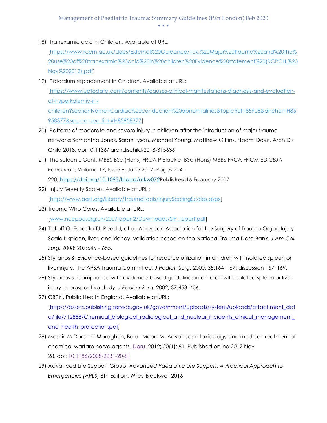#### Management of Paediatric Trauma: Summary Guidelines (Pan London) Feb 2020 • • •

18) Tranexamic acid in Children. Available at URL:

[https://www.rcem.ac.uk/docs/External%20Guidance/10k.%20Major%20trauma%20and%20the% 20use%20of%20tranexamic%20acid%20in%20children%20Evidence%20statement%20(RCPCH,%20 Nov%202012).pdf]

- 19) Potassium replacement in Children. Available at URL: [https://www.uptodate.com/contents/causes-clinical-manifestations-diagnosis-and-evaluationof-hyperkalemia-inchildren?sectionName=Cardiac%20conduction%20abnormalities&topicRef=85908&anchor=H85 958377&source=see\_link#H85958377]
- 20) Patterns of moderate and severe injury in children after the introduction of major trauma networks Samantha Jones, Sarah Tyson, Michael Young, Matthew Gittins, Naomi Davis, Arch Dis Child 2018. doi:10.1136/ archdischild-2018-315636
- 21) The spleen L Gent, MBBS BSc (Hons) FRCA P Blackie, BSc (Hons) MBBS FRCA FFICM EDIC*BJA Education*, Volume 17, Issue 6, June 2017, Pages 214– 220, https://doi.org/10.1093/bjaed/mkw072**Published:**16 February 2017
- 22) Injury Severity Scores. Available at URL : [http://www.aast.org/Library/TraumaTools/InjuryScoringScales.aspx]
- 23) Trauma Who Cares: Available at URL: [www.ncepod.org.uk/2007report2/Downloads/SIP\_report.pdf]
- 24) Tinkoff G, Esposito TJ, Reed J, et al. American Association for the Surgery of Trauma Organ Injury Scale I: spleen, liver, and kidney, validation based on the National Trauma Data Bank. *J Am Coll Surg.* 2008; 207:646 – 655.
- 25) Stylianos S. Evidence-based guidelines for resource utilization in children with isolated spleen or liver injury. The APSA Trauma Committee. *J Pediatr Surg.* 2000; 35:164–167; discussion 167–169.
- 26) Stylianos S. Compliance with evidence-based guidelines in children with isolated spleen or liver injury: a prospective study. *J Pediatr Surg.* 2002; 37:453–456.
- 27) CBRN. Public Health England. Available at URL: [https://assets.publishing.service.gov.uk/government/uploads/system/uploads/attachment\_dat a/file/712888/Chemical biological radiological and nuclear incidents clinical management and health protection.pdf
- 28) Moshiri M Darchini-Maragheh, Balali-Mood M. Advances n toxicology and medical treatment of chemical warfare nerve agents. Daru. 2012; 20(1): 81. Published online 2012 Nov 28. doi: 10.1186/2008-2231-20-81
- 29) Advanced Life Support Group. *Advanced Paediatric Life Support: A Practical Approach to Emergencies (APLS)* 6th Edition. Wiley-Blackwell 2016